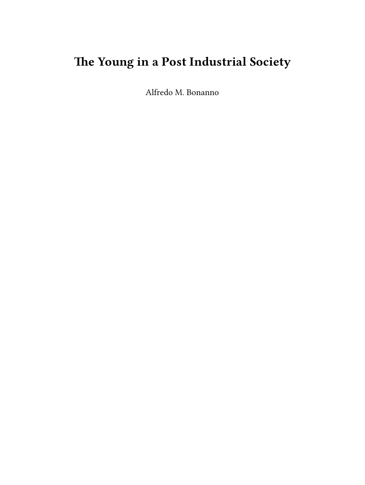# **The Young in a Post Industrial Society**

Alfredo M. Bonanno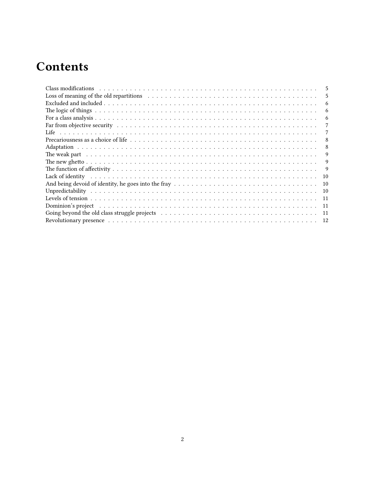# **Contents**

| Class modifications (a) respectively and the contract of the contract of the contract of the contract of the contract of the contract of the contract of the contract of the contract of the contract of the contract of the c<br>5 |
|-------------------------------------------------------------------------------------------------------------------------------------------------------------------------------------------------------------------------------------|
| Loss of meaning of the old repartitions entering in the set of the original set of meaning of the old repartitions entering in the set of the set of the set of the set of the set of the set of the set of the set of the set<br>5 |
| 6                                                                                                                                                                                                                                   |
| 6                                                                                                                                                                                                                                   |
| 6                                                                                                                                                                                                                                   |
|                                                                                                                                                                                                                                     |
| 7                                                                                                                                                                                                                                   |
| 8                                                                                                                                                                                                                                   |
| 8                                                                                                                                                                                                                                   |
| The weak part and account to the contract of the contract of the contract of the weak part and account the contract of the contract of the contract of the contract of the contract of the contract of the contract of the con<br>9 |
| 9                                                                                                                                                                                                                                   |
| 9                                                                                                                                                                                                                                   |
| Lack of identity respectively. All the contracts in the contracts of identity respectively.<br>10                                                                                                                                   |
| -10                                                                                                                                                                                                                                 |
| -10                                                                                                                                                                                                                                 |
| -11                                                                                                                                                                                                                                 |
| Dominion's project (and a series are seen as a series and a series are series and a series are series and a series of $\alpha$<br>-11                                                                                               |
| -11                                                                                                                                                                                                                                 |
| 12                                                                                                                                                                                                                                  |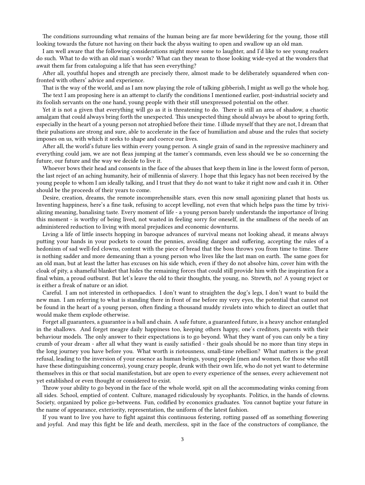The conditions surrounding what remains of the human being are far more bewildering for the young, those still looking towards the future not having on their back the abyss waiting to open and swallow up an old man.

I am well aware that the following considerations might move some to laughter, and I'd like to see young readers do such. What to do with an old man's words? What can they mean to those looking wide-eyed at the wonders that await them far from cataloguing a life that has seen everything?

After all, youthful hopes and strength are precisely there, almost made to be deliberately squandered when confronted with others' advice and experience.

That is the way of the world, and as I am now playing the role of talking gibberish, I might as well go the whole hog. The text I am proposing here is an attempt to clarify the conditions I mentioned earlier, post-industrial society and its foolish servants on the one hand, young people with their still unexpressed potential on the other.

Yet it is not a given that everything will go as it is threatening to do. There is still an area of shadow, a chaotic amalgam that could always bring forth the unexpected. This unexpected thing should always be about to spring forth, especially in the heart of a young person not atrophied before their time. I illude myself that they are not, I dream that their pulsations are strong and sure, able to accelerate in the face of humiliation and abuse and the rules that society imposes on us, with which it seeks to shape and coerce our lives.

After all, the world's future lies within every young person. A single grain of sand in the repressive machinery and everything could jam, we are not fleas jumping at the tamer's commands, even less should we be so concerning the future, our future and the way we decide to live it.

Whoever bows their head and consents in the face of the abuses that keep them in line is the lowest form of person, the last reject of an aching humanity, heir of millennia of slavery. I hope that this legacy has not been received by the young people to whom I am ideally talking, and I trust that they do not want to take it right now and cash it in. Other should be the proceeds of their years to come.

Desire, creation, dreams, the remote incomprehensible stars, even this now small agonizing planet that hosts us. Inventing happiness, here's a fine task, refusing to accept levelling, not even that which helps pass the time by trivializing meaning, banalising taste. Every moment of life - a young person barely understands the importance of living this moment - is worthy of being lived, not wasted in feeling sorry for oneself, in the smallness of the needs of an administered reduction to living with moral prejudices and economic downturns.

Living a life of little insects hopping in baroque advances of survival means not looking ahead, it means always putting your hands in your pockets to count the pennies, avoiding danger and suffering, accepting the rules of a hedonism of sad well-fed clowns, content with the piece of bread that the boss throws you from time to time. There is nothing sadder and more demeaning than a young person who lives like the last man on earth. The same goes for an old man, but at least the latter has excuses on his side which, even if they do not absolve him, cover him with the cloak of pity, a shameful blanket that hides the remaining forces that could still provide him with the inspiration for a final whim, a proud outburst. But let's leave the old to their thoughts, the young, no. Strewth, no! A young reject or is either a freak of nature or an idiot.

Careful. I am not interested in orthopaedics. I don't want to straighten the dog's legs, I don't want to build the new man. I am referring to what is standing there in front of me before my very eyes, the potential that cannot not be found in the heart of a young person, often finding a thousand muddy rivulets into which to direct an outlet that would make them explode otherwise.

Forget all guarantees, a guarantee is a ball and chain. A safe future, a guaranteed future, is a heavy anchor entangled in the shallows. And forget meagre daily happiness too, keeping others happy, one's creditors, parents with their behaviour models. The only answer to their expectations is to go beyond. What they want of you can only be a tiny crumb of your dream - after all what they want is easily satisfied - their goals should be no more than tiny steps in the long journey you have before you. What worth is riotousness, small-time rebellion? What matters is the great refusal, leading to the inversion of your essence as human beings, young people (men and women, for those who still have these distinguishing concerns), young crazy people, drunk with their own life, who do not yet want to determine themselves in this or that social manifestation, but are open to every experience of the senses, every achievement not yet established or even thought or considered to exist.

Throw your ability to go beyond in the face of the whole world, spit on all the accommodating winks coming from all sides. School, emptied of content. Culture, managed ridiculously by sycophants. Politics, in the hands of clowns. Society, organized by police go-betweens. Fun, codified by economics graduates. You cannot baptize your future in the name of appearance, exteriority, representation, the uniform of the latest fashion.

If you want to live you have to fight against this continuous festering, rotting passed off as something flowering and joyful. And may this fight be life and death, merciless, spit in the face of the constructors of compliance, the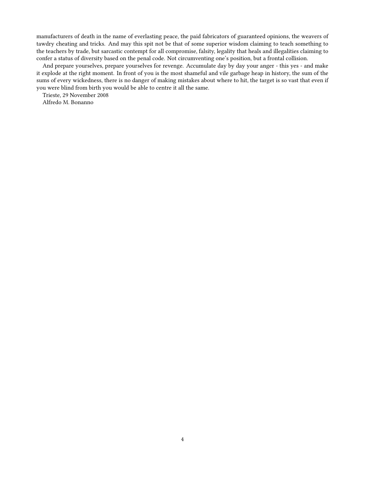manufacturers of death in the name of everlasting peace, the paid fabricators of guaranteed opinions, the weavers of tawdry cheating and tricks. And may this spit not be that of some superior wisdom claiming to teach something to the teachers by trade, but sarcastic contempt for all compromise, falsity, legality that heals and illegalities claiming to confer a status of diversity based on the penal code. Not circumventing one's position, but a frontal collision.

And prepare yourselves, prepare yourselves for revenge. Accumulate day by day your anger - this yes - and make it explode at the right moment. In front of you is the most shameful and vile garbage heap in history, the sum of the sums of every wickedness, there is no danger of making mistakes about where to hit, the target is so vast that even if you were blind from birth you would be able to centre it all the same.

Trieste, 29 November 2008

Alfredo M. Bonanno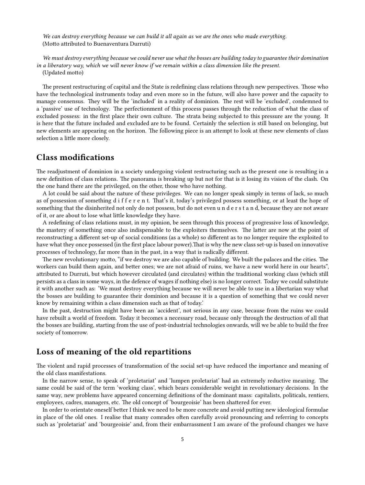*We can destroy everything because we can build it all again as we are the ones who made everything.* (Motto attributed to Buenaventura Durruti)

*We must destroy everything because we could never use what the bosses are building today to guarantee their domination in a liberatory way, which we will never know if we remain within a class dimension like the present.*

(Updated motto)

The present restructuring of capital and the State is redefining class relations through new perspectives. Those who have the technological instruments today and even more so in the future, will also have power and the capacity to manage consensus. They will be the 'included' in a reality of dominion. The rest will be 'excluded', condemned to a 'passive' use of technology. The perfectionment of this process passes through the reduction of what the class of excluded possess: in the first place their own culture. The strata being subjected to this pressure are the young. It is here that the future included and excluded are to be found. Certainly the selection is still based on belonging, but new elements are appearing on the horizon. The following piece is an attempt to look at these new elements of class selection a little more closely.

#### <span id="page-4-0"></span>**Class modifications**

The readjustment of dominion in a society undergoing violent restructuring such as the present one is resulting in a new definition of class relations. The panorama is breaking up but not for that is it losing its vision of the clash. On the one hand there are the privileged, on the other, those who have nothing.

A lot could be said about the nature of these privileges. We can no longer speak simply in terms of lack, so much as of possession of something d i f f e r e n t. That's it, today's privileged possess something, or at least the hope of something that the disinherited not only do not possess, but do not even u n d e r s t a n d, because they are not aware of it, or are about to lose what little knowledge they have.

A redefining of class relations must, in my opinion, be seen through this process of progressive loss of knowledge, the mastery of something once also indispensable to the exploiters themselves. The latter are now at the point of reconstructing a different set-up of social conditions (as a whole) so different as to no longer require the exploited to have what they once possessed (in the first place labour power).That is why the new class set-up is based on innovative processes of technology, far more than in the past, in a way that is radically different.

The new revolutionary motto, "if we destroy we are also capable of building. We built the palaces and the cities. The workers can build them again, and better ones; we are not afraid of ruins, we have a new world here in our hearts", attributed to Durruti, but which however circulated (and circulates) within the traditional working class (which still persists as a class in some ways, in the defence of wages if nothing else) is no longer correct. Today we could substitute it with another such as: 'We must destroy everything because we will never be able to use in a libertarian way what the bosses are building to guarantee their dominion and because it is a question of something that we could never know by remaining within a class dimension such as that of today.'

In the past, destruction might have been an 'accident', not serious in any case, because from the ruins we could have rebuilt a world of freedom. Today it becomes a necessary road, because only through the destruction of all that the bosses are building, starting from the use of post-industrial technologies onwards, will we be able to build the free society of tomorrow.

#### <span id="page-4-1"></span>**Loss of meaning of the old repartitions**

The violent and rapid processes of transformation of the social set-up have reduced the importance and meaning of the old class manifestations.

In the narrow sense, to speak of 'proletariat' and 'lumpen proletariat' had an extremely reductive meaning. The same could be said of the term 'working class', which bears considerable weight in revolutionary decisions. In the same way, new problems have appeared concerning definitions of the dominant mass: capitalists, politicals, rentiers, employees, cadres, managers, etc. The old concept of 'bourgeoisie' has been shattered for ever.

In order to orientate oneself better I think we need to be more concrete and avoid putting new ideological formulae in place of the old ones. I realise that many comrades often carefully avoid pronouncing and referring to concepts such as 'proletariat' and 'bourgeoisie' and, from their embarrassment I am aware of the profound changes we have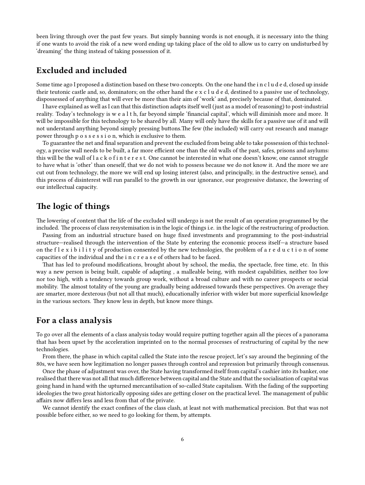been living through over the past few years. But simply banning words is not enough, it is necessary into the thing if one wants to avoid the risk of a new word ending up taking place of the old to allow us to carry on undisturbed by 'dreaming' the thing instead of taking possession of it.

# <span id="page-5-0"></span>**Excluded and included**

Some time ago I proposed a distinction based on these two concepts. On the one hand the i n c l u d e d, closed up inside their teutonic castle and, so, dominators; on the other hand the e x c l u d e d, destined to a passive use of technology, dispossessed of anything that will ever be more than their aim of 'work' and, precisely because of that, dominated.

I have explained as well as I can that this distinction adapts itself well (just as a model of reasoning) to post-industrial reality. Today's technology is w e a l t h, far beyond simple 'financial capital', which will diminish more and more. It will be impossible for this technology to be shared by all. Many will only have the skills for a passive use of it and will not understand anything beyond simply pressing buttons.The few (the included) will carry out research and manage power through p o s s e s s i o n, which is exclusive to them.

To guarantee the net and final separation and prevent the excluded from being able to take possession of this technology, a precise wall needs to be built, a far more efficient one than the old walls of the past, safes, prisons and asylums: this will be the wall of l a c k o f i n t e r e s t. One cannot be interested in what one doesn't know, one cannot struggle to have what is 'other' than oneself, that we do not wish to possess because we do not know it. And the more we are cut out from technology, the more we will end up losing interest (also, and principally, in the destructive sense), and this process of disinterest will run parallel to the growth in our ignorance, our progressive distance, the lowering of our intellectual capacity.

#### <span id="page-5-1"></span>**The logic of things**

The lowering of content that the life of the excluded will undergo is not the result of an operation programmed by the included. The process of class resystemisation is in the logic of things i.e. in the logic of the restructuring of production.

Passing from an industrial structure based on huge fixed investments and programming to the post-industrial structure—realised through the intervention of the State by entering the economic process itself—a structure based on the f l e x i b i l i t y of production consented by the new technologies, the problem of a r e d u c t i o n of some capacities of the individual and the i n c r e a s e of others had to be faced.

That has led to profound modifications, brought about by school, the media, the spectacle, free time, etc. In this way a new person is being built, capable of adapting , a malleable being, with modest capabilities, neither too low nor too high, with a tendency towards group work, without a broad culture and with no career prospects or social mobility. The almost totality of the young are gradually being addressed towards these perspectives. On average they are smarter, more dexterous (but not all that much), educationally inferior with wider but more superficial knowledge in the various sectors. They know less in depth, but know more things.

#### <span id="page-5-2"></span>**For a class analysis**

To go over all the elements of a class analysis today would require putting together again all the pieces of a panorama that has been upset by the acceleration imprinted on to the normal processes of restructuring of capital by the new technologies.

From there, the phase in which capital called the State into the rescue project, let's say around the beginning of the 80s, we have seen how legitimation no longer passes through control and repression but primarily through consensus.

Once the phase of adjustment was over, the State having transformed itself from capital's cashier into its banker, one realised that there was not all that much difference between capital and the State and that the socialisation of capital was going hand in hand with the upturned mercantilsation of so-called State capitalism. With the fading of the supporting ideologies the two great historically opposing sides are getting closer on the practical level. The management of public affairs now differs less and less from that of the private.

We cannot identify the exact confines of the class clash, at least not with mathematical precision. But that was not possible before either, so we need to go looking for them, by attempts.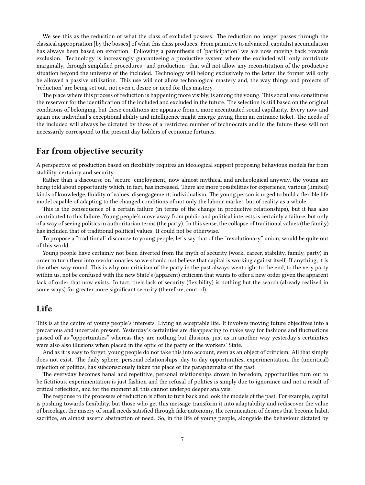We see this as the reduction of what the class of excluded possess. The reduction no longer passes through the classical appropriation [by the bosses] of what this class produces. From primitive to advanced, capitalist accumulation has always been based on extortion. Following a parenthesis of 'participation' we are now moving back towards exclusion. Technology is increasingly guaranteeing a productive system where the excluded will only contribute marginally, through simplified procedures—and production—that will not allow any reconstitution of the productive situation beyond the universe of the included. Technology will belong exclusively to the latter, the former will only be allowed a passive utilisation. This use will not allow technological mastery and, the way things and projects of 'reduction' are being set out, not even a desire or need for this mastery.

The place where this process of reduction is happening more visibly, is among the young. This social area constitutes the reservoir for the identification of the included and excluded in the future. The selection is still based on the original conditions of belonging, but these conditions are appaiate from a more accentuated social capillarity. Every now and again one individual's exceptional ability and intelligence might emerge giving them an entrance ticket. The needs of the included will always be dictated by those of a restricted number of technocrats and in the future these will not necessarily correspond to the present day holders of economic fortunes.

#### <span id="page-6-0"></span>**Far from objective security**

A perspective of production based on flexibility requires an ideological support proposing behavious models far from stability, certainty and security.

Rather than a discourse on 'secure' employment, now almost mythical and archeological anyway, the young are being told about opportunity which, in fact, has increased. There are more possibilities for experience, various (limited) kinds of knowledge, fluidity of values, disengagement, individualism. The young person is urged to build a flexible life model capable of adapting to the changed conditions of not only the labour market, but of reality as a whole.

This is the consequence of a certain failure (in terms of the change in productive relationships), but it has also contributed to this failure. Young people's move away from public and political interests is certainly a failure, but only of a way of seeing politics in authoritarian terms (the party). In this sense, the collapse of traditional values (the family) has included that of traditional political values. It could not be otherwise.

To propose a "traditional" discourse to young people, let's say that of the "revolutionary" union, would be quite out of this world.

Young people have certainly not been diverted from the myth of security (work, career, stability, family, party) in order to turn them into revolutionaries so we should not believe that capital is working against itself. If anything, it is the other way round. This is why our criticism of the party in the past always went right to the end, to the very party within us, not be confused with the new State's (apparent) criticism that wants to offer a new order given the apparent lack of order that now exists. In fact, their lack of security (flexibility) is nothing but the search (already realized in some ways) for greater more significant security (therefore, control).

#### <span id="page-6-1"></span>**Life**

This is at the centre of young people's interests. Living an acceptable life. It involves moving future objectives into a precarious and uncertain present. Yesterday's certainties are disappearing to make way for fashions and fluctuations passed off as "opportunities" whereas they are nothing but illusions, just as in another way yesterday's certainties were also also illusions when placed in the optic of the party or the workers' State.

And as it is easy to forget, young people do not take this into account, even as an object of criticism. All that simply does not exist. The daily sphere, personal relationships, day to day opportunities, experimentation, the (uncritical) rejection of politics, has subconsciously taken the place of the paraphernalia of the past.

The everyday becomes banal and repetitive, personal relationships drown in boredom, opportunities turn out to be fictitious, experimentation is just fashion and the refusal of politics is simply due to ignorance and not a result of critical reflection, and for the moment all this cannot undergo deeper analysis.

The response to the processes of reduction is often to turn back and look the models of the past. For example, capital is pushing towards flexibility, but those who get this message transform it into adaptability and rediscover the value of bricolage, the misery of small needs satisfied through fake autonomy, the renunciation of desires that become habit, sacrifice, an almost ascetic abstraction of need. So, in the life of young people, alongside the behaviour dictated by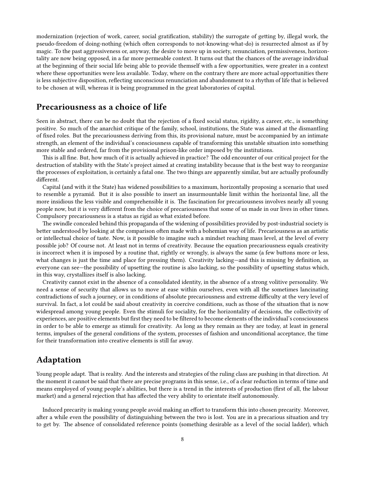modernization (rejection of work, career, social gratification, stability) the surrogate of getting by, illegal work, the pseudo-freedom of doing-nothing (which often corresponds to not-knowing-what-do) is resurrected almost as if by magic. To the past aggressiveness or, anyway, the desire to move up in society, renunciation, permissiveness, horizontality are now being opposed, in a far more permeable context. It turns out that the chances of the average individual at the beginning of their social life being able to provide themself with a few opportunities, were greater in a context where these opportunities were less available. Today, where on the contrary there are more actual opportunities there is less subjective disposition, reflecting unconscious renunciation and abandonment to a rhythm of life that is believed to be chosen at will, whereas it is being programmed in the great laboratories of capital.

#### <span id="page-7-0"></span>**Precariousness as a choice of life**

Seen in abstract, there can be no doubt that the rejection of a fixed social status, rigidity, a career, etc., is something positive. So much of the anarchist critique of the family, school, institutions, the State was aimed at the dismantling of fixed roles. But the precariousness deriving from this, its provisional nature, must be accompanied by an intimate strength, an element of the individual's consciousness capable of transforming this unstable situation into something more stable and ordered, far from the provisional prison-like order imposed by the institutions.

This is all fine. But, how much of it is actually achieved in practice? The odd encounter of our critical project for the destruction of stability with the State's project aimed at creating instability because that is the best way to reorganize the processes of exploitation, is certainly a fatal one. The two things are apparently similar, but are actually profoundly different.

Capital (and with it the State) has widened possibilities to a maximum, horizontally proposing a scenario that used to resemble a pyramid. But it is also possible to insert an insurmountable limit within the horizontal line, all the more insidious the less visible and comprehensible it is. The fascination for precariousness involves nearly all young people now, but it is very different from the choice of precariousness that some of us made in our lives in other times. Compulsory precariousness is a status as rigid as what existed before.

The swindle concealed behind this propaganda of the widening of possibilities provided by post-industrial society is better understood by looking at the comparison often made with a bohemian way of life. Precariousness as an artistic or intellectual choice of taste. Now, is it possible to imagine such a mindset reaching mass level, at the level of every possible job? Of course not. At least not in terms of creativity. Because the equation precariousness equals creativity is incorrect when it is imposed by a routine that, rightly or wrongly, is always the same (a few buttons more or less, what changes is just the time and place for pressing them). Creativity lacking—and this is missing by definition, as everyone can see—the possibility of upsetting the routine is also lacking, so the possibility of upsetting status which, in this way, crystallizes itself is also lacking.

Creativity cannot exist in the absence of a consolidated identity, in the absence of a strong volitive personality. We need a sense of security that allows us to move at ease within ourselves, even with all the sometimes lancinating contradictions of such a journey, or in conditions of absolute precariousness and extreme difficulty at the very level of survival. In fact, a lot could be said about creativity in coercive conditions, such as those of the situation that is now widespread among young people. Even the stimuli for sociality, for the horizontality of decisions, the collectivity of experiences, are positive elements but first they need to be filtered to become elements of the individual's consciousness in order to be able to emerge as stimuli for creativity. As long as they remain as they are today, at least in general terms, impulses of the general conditions of the system, processes of fashion and unconditional acceptance, the time for their transformation into creative elements is still far away.

## <span id="page-7-1"></span>**Adaptation**

Young people adapt. That is reality. And the interests and strategies of the ruling class are pushing in that direction. At the moment it cannot be said that there are precise programs in this sense, i.e., of a clear reduction in terms of time and means employed of young people's abilities, but there is a trend in the interests of production (first of all, the labour market) and a general rejection that has affected the very ability to orientate itself autonomously.

Induced precarity is making young people avoid making an effort to transform this into chosen precarity. Moreover, after a while even the possibility of distinguishing between the two is lost. You are in a precarious situation and try to get by. The absence of consolidated reference points (something desirable as a level of the social ladder), which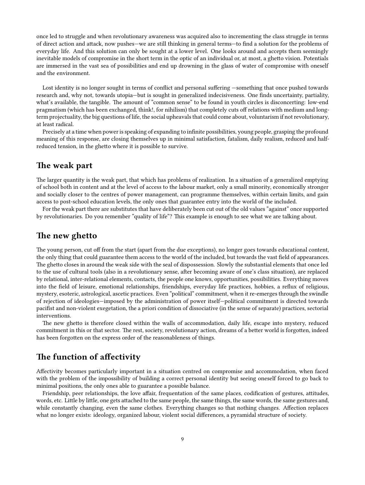once led to struggle and when revolutionary awareness was acquired also to incrementing the class struggle in terms of direct action and attack, now pushes—we are still thinking in general terms—to find a solution for the problems of everyday life. And this solution can only be sought at a lower level. One looks around and accepts them seemingly inevitable models of compromise in the short term in the optic of an individual or, at most, a ghetto vision. Potentials are immersed in the vast sea of possibilities and end up drowning in the glass of water of compromise with oneself and the environment.

Lost identity is no longer sought in terms of conflict and personal suffering —something that once pushed towards research and, why not, towards utopia—but is sought in generalized indecisiveness. One finds uncertainty, partiality, what's available, the tangible. The amount of "common sense" to be found in youth circles is disconcerting: low-end pragmatism (which has been exchanged, think!, for nihilism) that completely cuts off relations with medium and longterm projectuality, the big questions of life, the social upheavals that could come about, voluntarism if not revolutionary, at least radical.

Precisely at a time when power is speaking of expanding to infinite possibilities, young people, grasping the profound meaning of this response, are closing themselves up in minimal satisfaction, fatalism, daily realism, reduced and halfreduced tension, in the ghetto where it is possible to survive.

#### <span id="page-8-0"></span>**The weak part**

The larger quantity is the weak part, that which has problems of realization. In a situation of a generalized emptying of school both in content and at the level of access to the labour market, only a small minority, economically stronger and socially closer to the centres of power management, can programme themselves, within certain limits, and gain access to post-school education levels, the only ones that guarantee entry into the world of the included.

For the weak part there are substitutes that have deliberately been cut out of the old values "against" once supported by revolutionaries. Do you remember "quality of life"? This example is enough to see what we are talking about.

#### <span id="page-8-1"></span>**The new ghetto**

The young person, cut off from the start (apart from the due exceptions), no longer goes towards educational content, the only thing that could guarantee them access to the world of the included, but towards the vast field of appearances. The ghetto closes in around the weak side with the seal of dispossession. Slowly the substantial elements that once led to the use of cultural tools (also in a revolutionary sense, after becoming aware of one's class situation), are replaced by relational, inter-relational elements, contacts, the people one knows, opportunities, possibilities. Everything moves into the field of leisure, emotional relationships, friendships, everyday life practices, hobbies, a reflux of religious, mystery, esoteric, astrological, ascetic practices. Even "political" commitment, when it re-emerges through the swindle of rejection of ideologies—imposed by the administration of power itself—political commitment is directed towards pacifist and non-violent exegetation, the a priori condition of dissociative (in the sense of separate) practices, sectorial interventions.

The new ghetto is therefore closed within the walls of accommodation, daily life, escape into mystery, reduced commitment in this or that sector. The rest, society, revolutionary action, dreams of a better world is forgotten, indeed has been forgotten on the express order of the reasonableness of things.

# <span id="page-8-2"></span>**The function of affectivity**

Affectivity becomes particularly important in a situation centred on compromise and accommodation, when faced with the problem of the impossibility of building a correct personal identity but seeing oneself forced to go back to minimal positions, the only ones able to guarantee a possible balance.

Friendship, peer relationships, the love affair, frequentation of the same places, codification of gestures, attitudes, words, etc. Little by little, one gets attached to the same people, the same things, the same words, the same gestures and, while constantly changing, even the same clothes. Everything changes so that nothing changes. Affection replaces what no longer exists: ideology, organized labour, violent social differences, a pyramidal structure of society.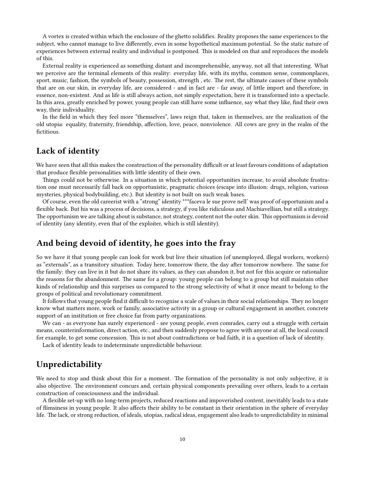A vortex is created within which the enclosure of the ghetto solidifies. Reality proposes the same experiences to the subject, who cannot manage to live differently, even in some hypothetical maximum potential. So the static nature of experiences between external reality and individual is postponed. This is modeled on that and reproduces the models of this.

External reality is experienced as something distant and incomprehensible, anyway, not all that interesting. What we perceive are the terminal elements of this reality: everyday life, with its myths, common sense, commonplaces, sport, music, fashion, the symbols of beauty, possession, strength , etc. The rest, the ultimate causes of these symbols that are on our skin, in everyday life, are considered - and in fact are - far away, of little import and therefore, in essence, non-existent. And as life is still always action, not simply expectation, here it is transformed into a spectacle. In this area, greatly enriched by power, young people can still have some influence, say what they like, find their own way, their individuality.

In the field in which they feel more "themselves", laws reign that, taken in themselves, are the realization of the old utopia: equality, fraternity, friendship, affection, love, peace, nonviolence. All cows are grey in the realm of the fictitious.

# <span id="page-9-0"></span>**Lack of identity**

We have seen that all this makes the construction of the personality difficult or at least favours conditions of adaptation that produce flexible personalities with little identity of their own.

Things could not be otherwise. In a situation in which potential opportunities increase, to avoid absolute frustration one must necessarily fall back on opportunistic, pragmatic choices (escape into illusion: drugs, religion, various mysteries, physical bodybuilding, etc.). But identity is not built on such weak bases.

Of course, even the old careerist with a "strong" identity \*\*\*faceva le sue prove nell' was proof of opportunism and a flexible back. But his was a process of decisions, a strategy, if you like ridiculous and Machiavellian, but still a strategy. The opportunism we are talking about is substance, not strategy, content not the outer skin. This opportunism is devoid of identity (any identity, even that of the exploiter, which is still identity).

#### <span id="page-9-1"></span>**And being devoid of identity, he goes into the fray**

So we have it that young people can look for work but live their situation (of unemployed, illegal workers, workers) as "externals", as a transitory situation. Today here, tomorrow there, the day after tomorrow nowhere. The same for the family: they can live in it but do not share its values, as they can abandon it, but not for this acquire or rationalize the reasons for the abandonment. The same for a group: young people can belong to a group but still maintain other kinds of relationship and this surprises us compared to the strong selectivity of what it once meant to belong to the groups of political and revolutionary commitment.

It follows that young people find it difficult to recognise a scale of values in their social relationships. They no longer know what matters more, work or family, associative activity in a group or cultural engagement in another, concrete support of an institution or free choice far from party organizations.

We can - as everyone has surely experienced - see young people, even comrades, carry out a struggle with certain means, counterinformation, direct action, etc., and then suddenly propose to agree with anyone at all, the local council for example, to get some concession. This is not about contradictions or bad faith, it is a question of lack of identity.

Lack of identity leads to indeterminate unpredictable behaviour.

## <span id="page-9-2"></span>**Unpredictability**

We need to stop and think about this for a moment. The formation of the personality is not only subjective, it is also objective. The environment concurs and, certain physical components prevailing over others, leads to a certain construction of consciousness and the individual.

A flexible set-up with no long-term projects, reduced reactions and impoverished content, inevitably leads to a state of flimsiness in young people. It also affects their ability to be constant in their orientation in the sphere of everyday life. The lack, or strong reduction, of ideals, utopias, radical ideas, engagement also leads to unpredictability in minimal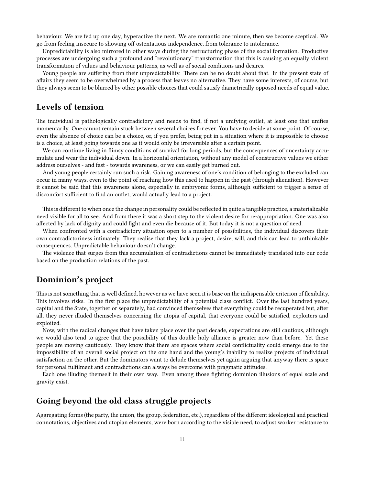behaviour. We are fed up one day, hyperactive the next. We are romantic one minute, then we become sceptical. We go from feeling insecure to showing off ostentatious independence, from tolerance to intolerance.

Unpredictability is also mirrored in other ways during the restructuring phase of the social formation. Productive processes are undergoing such a profound and "revolutionary" transformation that this is causing an equally violent transformation of values and behaviour patterns, as well as of social conditions and desires.

Young people are suffering from their unpredictability. There can be no doubt about that. In the present state of affairs they seem to be overwhelmed by a process that leaves no alternative. They have some interests, of course, but they always seem to be blurred by other possible choices that could satisfy diametrically opposed needs of equal value.

#### <span id="page-10-0"></span>**Levels of tension**

The individual is pathologically contradictory and needs to find, if not a unifying outlet, at least one that unifies momentarily. One cannot remain stuck between several choices for ever. You have to decide at some point. Of course, even the absence of choice can be a choice, or, if you prefer, being put in a situation where it is impossible to choose is a choice, at least going towards one as it would only be irreversible after a certain point.

We can continue living in flimsy conditions of survival for long periods, but the consequences of uncertainty accumulate and wear the individual down. In a horizontal orientation, without any model of constructive values we either address ourselves - and fast - towards awareness, or we can easily get burned out.

And young people certainly run such a risk. Gaining awareness of one's condition of belonging to the excluded can occur in many ways, even to the point of reaching how this used to happen in the past (through alienation). However it cannot be said that this awareness alone, especially in embryonic forms, although sufficient to trigger a sense of discomfort sufficient to find an outlet, would actually lead to a project.

This is different to when once the change in personality could be reflected in quite a tangible practice, a materializable need visible for all to see. And from there it was a short step to the violent desire for re-appropriation. One was also affected by lack of dignity and could fight and even die because of it. But today it is not a question of need.

When confronted with a contradictory situation open to a number of possibilities, the individual discovers their own contradictoriness intimately. They realise that they lack a project, desire, will, and this can lead to unthinkable consequences. Unpredictable behaviour doesn't change.

The violence that surges from this accumulation of contradictions cannot be immediately translated into our code based on the production relations of the past.

#### <span id="page-10-1"></span>**Dominion's project**

This is not something that is well defined, however as we have seen it is base on the indispensable criterion of flexibility. This involves risks. In the first place the unpredictability of a potential class conflict. Over the last hundred years, capital and the State, together or separately, had convinced themselves that everything could be recuperated but, after all, they never illuded themselves concerning the utopia of capital, that everyone could be satisfied, exploiters and exploited.

Now, with the radical changes that have taken place over the past decade, expectations are still cautious, although we would also tend to agree that the possibility of this double holy alliance is greater now than before. Yet these people are moving cautiously. They know that there are spaces where social conflictuality could emerge due to the impossibility of an overall social project on the one hand and the young's inability to realize projects of individual satisfaction on the other. But the dominators want to delude themselves yet again arguing that anyway there is space for personal fulfilment and contradictions can always be overcome with pragmatic attitudes.

Each one illuding themself in their own way. Even among those fighting dominion illusions of equal scale and gravity exist.

#### <span id="page-10-2"></span>**Going beyond the old class struggle projects**

Aggregating forms (the party, the union, the group, federation, etc.), regardless of the different ideological and practical connotations, objectives and utopian elements, were born according to the visible need, to adjust worker resistance to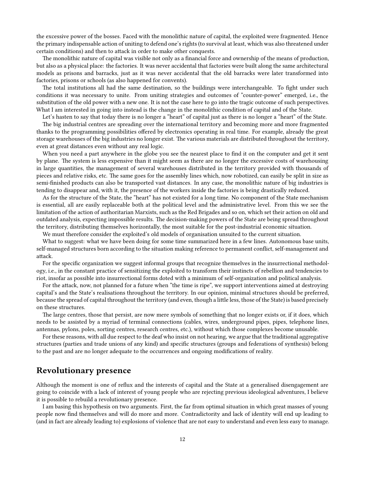the excessive power of the bosses. Faced with the monolithic nature of capital, the exploited were fragmented. Hence the primary indispensable action of uniting to defend one's rights (to survival at least, which was also threatened under certain conditions) and then to attack in order to make other conquests.

The monolithic nature of capital was visible not only as a financial force and ownership of the means of production, but also as a physical place: the factories. It was never accidental that factories were built along the same architectural models as prisons and barracks, just as it was never accidental that the old barracks were later transformed into factories, prisons or schools (as also happened for convents).

The total institutions all had the same destination, so the buildings were interchangeable. To fight under such conditions it was necessary to unite. From uniting strategies and outcomes of "counter-power" emerged, i.e., the substitution of the old power with a new one. It is not the case here to go into the tragic outcome of such perspectives. What I am interested in going into instead is the change in the monolithic condition of capital and of the State.

Let's hasten to say that today there is no longer a "heart" of capital just as there is no longer a "heart" of the State. The big industrial centres are spreading over the international territory and becoming more and more fragmented thanks to the programming possibilities offered by electronics operating in real time. For example, already the great storage warehouses of the big industries no longer exist. The various materials are distributed throughout the territory, even at great distances even without any real logic.

When you need a part anywhere in the globe you see the nearest place to find it on the computer and get it sent by plane. The system is less expensive than it might seem as there are no longer the excessive costs of warehousing in large quantities, the management of several warehouses distributed in the territory provided with thousands of pieces and relative risks, etc. The same goes for the assembly lines which, now robotized, can easily be split in size as semi-finished products can also be transported vast distances. In any case, the monolithic nature of big industries is tending to disappear and, with it, the presence of the workers inside the factories is being drastically reduced.

As for the structure of the State, the "heart" has not existed for a long time. No component of the State mechanism is essential, all are easily replaceable both at the political level and the administrative level. From this we see the limitation of the action of authoritarian Marxists, such as the Red Brigades and so on, which set their action on old and outdated analysis, expecting impossible results. The decision-making powers of the State are being spread throughout the territory, distributing themselves horizontally, the most suitable for the post-industrial economic situation.

We must therefore consider the exploited's old models of organisation unsuited to the current situation.

What to suggest: what we have been doing for some time summarized here in a few lines. Autonomous base units, self-managed structures born according to the situation making reference to permanent conflict, self-management and attack.

For the specific organization we suggest informal groups that recognize themselves in the insurrectional methodology, i.e., in the constant practice of sensitizing the exploited to transform their instincts of rebellion and tendencies to riot, insofar as possible into insurrectional forms doted with a minimum of self-organization and political analysis.

For the attack, now, not planned for a future when "the time is ripe", we support interventions aimed at destroying capital's and the State's realisations throughout the territory. In our opinion, minimal structures should be preferred, because the spread of capital throughout the territory (and even, though a little less, those of the State) is based precisely on these structures.

The large centres, those that persist, are now mere symbols of something that no longer exists or, if it does, which needs to be assisted by a myriad of terminal connections (cables, wires, underground pipes, pipes, telephone lines, antennas, pylons, poles, sorting centres, research centres, etc.), without which those complexes become unusable.

For these reasons, with all due respect to the deaf who insist on not hearing, we argue that the traditional aggregative structures (parties and trade unions of any kind) and specific structures (groups and federations of synthesis) belong to the past and are no longer adequate to the occurrences and ongoing modifications of reality.

#### <span id="page-11-0"></span>**Revolutionary presence**

Although the moment is one of reflux and the interests of capital and the State at a generalised disengagement are going to coincide with a lack of interest of young people who are rejecting previous ideological adventures, I believe it is possible to rebuild a revolutionary presence.

I am basing this hypothesis on two arguments. First, the far from optimal situation in which great masses of young people now find themselves and will do more and more. Contradictority and lack of identity will end up leading to (and in fact are already leading to) explosions of violence that are not easy to understand and even less easy to manage.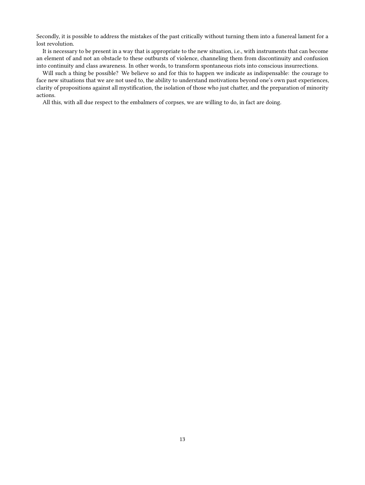Secondly, it is possible to address the mistakes of the past critically without turning them into a funereal lament for a lost revolution.

It is necessary to be present in a way that is appropriate to the new situation, i.e., with instruments that can become an element of and not an obstacle to these outbursts of violence, channeling them from discontinuity and confusion into continuity and class awareness. In other words, to transform spontaneous riots into conscious insurrections.

Will such a thing be possible? We believe so and for this to happen we indicate as indispensable: the courage to face new situations that we are not used to, the ability to understand motivations beyond one's own past experiences, clarity of propositions against all mystification, the isolation of those who just chatter, and the preparation of minority actions.

All this, with all due respect to the embalmers of corpses, we are willing to do, in fact are doing.